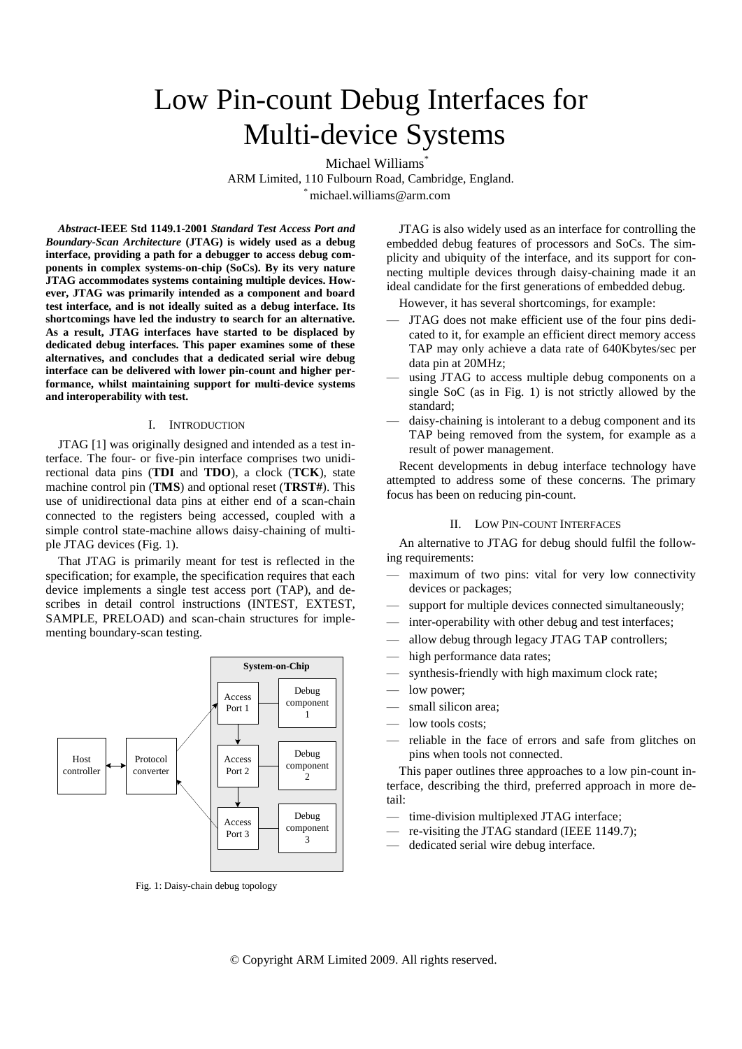# Low Pin-count Debug Interfaces for Multi-device Systems

Michael Williams<sup>\*</sup> ARM Limited, 110 Fulbourn Road, Cambridge, England. \* michael.williams@arm.com

*Abstract***-IEEE Std 1149.1-2001** *Standard Test Access Port and Boundary-Scan Architecture* **(JTAG) is widely used as a debug interface, providing a path for a debugger to access debug components in complex systems-on-chip (SoCs). By its very nature JTAG accommodates systems containing multiple devices. However, JTAG was primarily intended as a component and board test interface, and is not ideally suited as a debug interface. Its shortcomings have led the industry to search for an alternative. As a result, JTAG interfaces have started to be displaced by dedicated debug interfaces. This paper examines some of these alternatives, and concludes that a dedicated serial wire debug interface can be delivered with lower pin-count and higher performance, whilst maintaining support for multi-device systems and interoperability with test.**

# I. INTRODUCTION

JTAG [1] was originally designed and intended as a test interface. The four- or five-pin interface comprises two unidirectional data pins (**TDI** and **TDO**), a clock (**TCK**), state machine control pin (**TMS**) and optional reset (**TRST#**). This use of unidirectional data pins at either end of a scan-chain connected to the registers being accessed, coupled with a simple control state-machine allows daisy-chaining of multiple JTAG devices [\(Fig. 1\)](#page-0-0).

That JTAG is primarily meant for test is reflected in the specification; for example, the specification requires that each device implements a single test access port (TAP), and describes in detail control instructions (INTEST, EXTEST, SAMPLE, PRELOAD) and scan-chain structures for implementing boundary-scan testing.



<span id="page-0-0"></span>Fig. 1: Daisy-chain debug topology

JTAG is also widely used as an interface for controlling the embedded debug features of processors and SoCs. The simplicity and ubiquity of the interface, and its support for connecting multiple devices through daisy-chaining made it an ideal candidate for the first generations of embedded debug.

However, it has several shortcomings, for example:

- JTAG does not make efficient use of the four pins dedicated to it, for example an efficient direct memory access TAP may only achieve a data rate of 640Kbytes/sec per data pin at 20MHz;
- using JTAG to access multiple debug components on a single SoC (as in [Fig. 1\)](#page-0-0) is not strictly allowed by the standard;
- daisy-chaining is intolerant to a debug component and its TAP being removed from the system, for example as a result of power management.

Recent developments in debug interface technology have attempted to address some of these concerns. The primary focus has been on reducing pin-count.

# II. LOW PIN-COUNT INTERFACES

An alternative to JTAG for debug should fulfil the following requirements:

- maximum of two pins: vital for very low connectivity devices or packages;
- support for multiple devices connected simultaneously;
- inter-operability with other debug and test interfaces;
- allow debug through legacy JTAG TAP controllers;
- high performance data rates;
- synthesis-friendly with high maximum clock rate;
- low power;
- small silicon area;
- low tools costs;
- reliable in the face of errors and safe from glitches on pins when tools not connected.

This paper outlines three approaches to a low pin-count interface, describing the third, preferred approach in more detail:

- time-division multiplexed JTAG interface;
- re-visiting the JTAG standard (IEEE 1149.7);
- dedicated serial wire debug interface.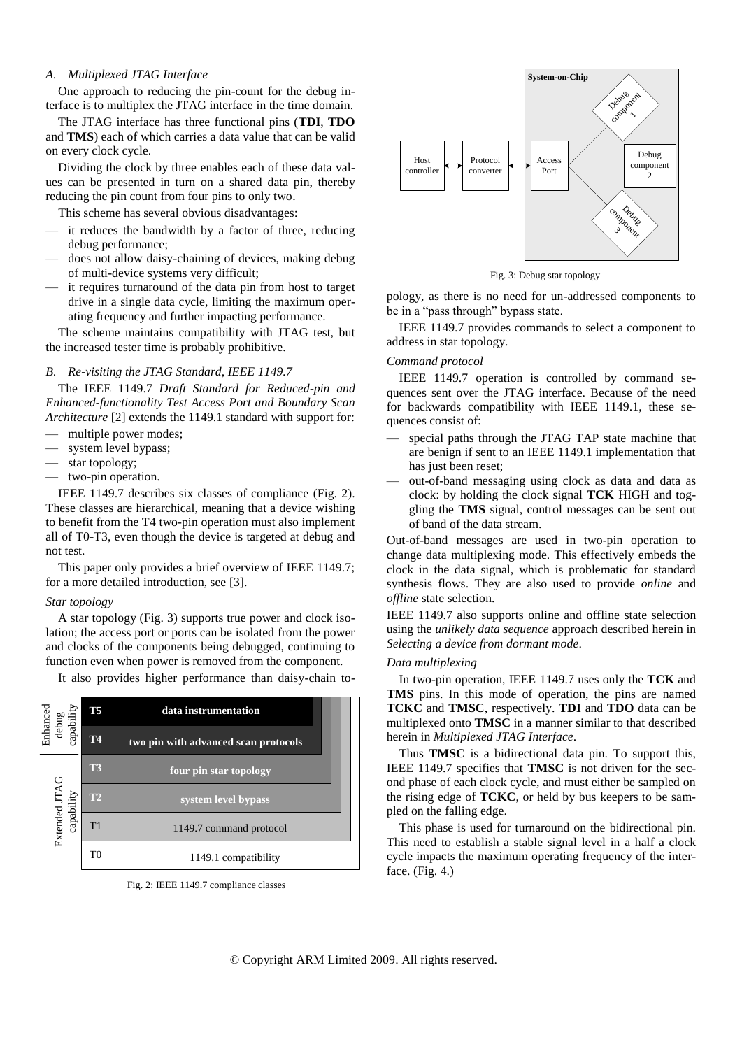# <span id="page-1-2"></span>*A. Multiplexed JTAG Interface*

One approach to reducing the pin-count for the debug interface is to multiplex the JTAG interface in the time domain.

The JTAG interface has three functional pins (**TDI**, **TDO** and **TMS**) each of which carries a data value that can be valid on every clock cycle.

Dividing the clock by three enables each of these data values can be presented in turn on a shared data pin, thereby reducing the pin count from four pins to only two.

This scheme has several obvious disadvantages:

- it reduces the bandwidth by a factor of three, reducing debug performance;
- does not allow daisy-chaining of devices, making debug of multi-device systems very difficult;
- it requires turnaround of the data pin from host to target drive in a single data cycle, limiting the maximum operating frequency and further impacting performance.

The scheme maintains compatibility with JTAG test, but the increased tester time is probably prohibitive.

#### *B. Re-visiting the JTAG Standard, IEEE 1149.7*

The IEEE 1149.7 *Draft Standard for Reduced-pin and Enhanced-functionality Test Access Port and Boundary Scan Architecture* [2] extends the 1149.1 standard with support for:

- multiple power modes:
- system level bypass;
- star topology;
- two-pin operation.

IEEE 1149.7 describes six classes of compliance [\(Fig. 2\)](#page-1-0). These classes are hierarchical, meaning that a device wishing to benefit from the T4 two-pin operation must also implement all of T0-T3, even though the device is targeted at debug and not test.

This paper only provides a brief overview of IEEE 1149.7; for a more detailed introduction, see [3].

#### *Star topology*

A star topology [\(Fig. 3\)](#page-1-1) supports true power and clock isolation; the access port or ports can be isolated from the power and clocks of the components being debugged, continuing to function even when power is removed from the component.

It also provides higher performance than daisy-chain to-



<span id="page-1-0"></span>Fig. 2: IEEE 1149.7 compliance classes



Fig. 3: Debug star topology

<span id="page-1-1"></span>pology, as there is no need for un-addressed components to be in a "pass through" bypass state.

IEEE 1149.7 provides commands to select a component to address in star topology.

## *Command protocol*

IEEE 1149.7 operation is controlled by command sequences sent over the JTAG interface. Because of the need for backwards compatibility with IEEE 1149.1, these sequences consist of:

- special paths through the JTAG TAP state machine that are benign if sent to an IEEE 1149.1 implementation that has just been reset;
- out-of-band messaging using clock as data and data as clock: by holding the clock signal **TCK** HIGH and toggling the **TMS** signal, control messages can be sent out of band of the data stream.

Out-of-band messages are used in two-pin operation to change data multiplexing mode. This effectively embeds the clock in the data signal, which is problematic for standard synthesis flows. They are also used to provide *online* and *offline* state selection.

IEEE 1149.7 also supports online and offline state selection using the *unlikely data sequence* approach described herein in *[Selecting a device from dormant mode](#page-4-0)*.

#### *Data multiplexing*

In two-pin operation, IEEE 1149.7 uses only the **TCK** and **TMS** pins. In this mode of operation, the pins are named **TCKC** and **TMSC**, respectively. **TDI** and **TDO** data can be multiplexed onto **TMSC** in a manner similar to that described herein in *[Multiplexed JTAG Interface](#page-1-2)*.

Thus **TMSC** is a bidirectional data pin. To support this, IEEE 1149.7 specifies that **TMSC** is not driven for the second phase of each clock cycle, and must either be sampled on the rising edge of **TCKC**, or held by bus keepers to be sampled on the falling edge.

This phase is used for turnaround on the bidirectional pin. This need to establish a stable signal level in a half a clock cycle impacts the maximum operating frequency of the interface. [\(Fig.](#page-2-0) 4.)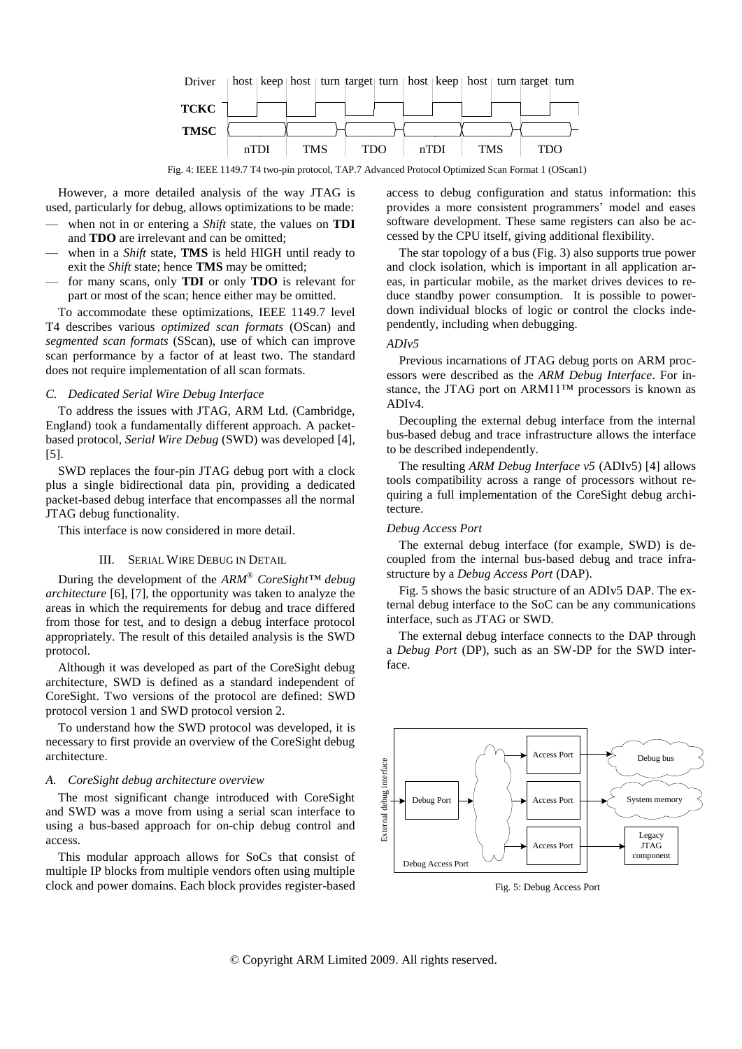

Fig. 4: IEEE 1149.7 T4 two-pin protocol, TAP.7 Advanced Protocol Optimized Scan Format 1 (OScan1)

<span id="page-2-0"></span>However, a more detailed analysis of the way JTAG is used, particularly for debug, allows optimizations to be made:

- when not in or entering a *Shift* state, the values on **TDI** and **TDO** are irrelevant and can be omitted;
- when in a *Shift* state, **TMS** is held HIGH until ready to exit the *Shift* state; hence **TMS** may be omitted;
- for many scans, only **TDI** or only **TDO** is relevant for part or most of the scan; hence either may be omitted.

To accommodate these optimizations, IEEE 1149.7 level T4 describes various *optimized scan formats* (OScan) and *segmented scan formats* (SScan), use of which can improve scan performance by a factor of at least two. The standard does not require implementation of all scan formats.

## *C. Dedicated Serial Wire Debug Interface*

To address the issues with JTAG, ARM Ltd. (Cambridge, England) took a fundamentally different approach. A packetbased protocol, *Serial Wire Debug* (SWD) was developed [4], [5].

SWD replaces the four-pin JTAG debug port with a clock plus a single bidirectional data pin, providing a dedicated packet-based debug interface that encompasses all the normal JTAG debug functionality.

This interface is now considered in more detail.

## III. SERIAL WIRE DEBUG IN DETAIL

During the development of the *ARM® CoreSight™ debug architecture* [6], [7], the opportunity was taken to analyze the areas in which the requirements for debug and trace differed from those for test, and to design a debug interface protocol appropriately. The result of this detailed analysis is the SWD protocol.

Although it was developed as part of the CoreSight debug architecture, SWD is defined as a standard independent of CoreSight. Two versions of the protocol are defined: SWD protocol version 1 and SWD protocol version 2.

To understand how the SWD protocol was developed, it is necessary to first provide an overview of the CoreSight debug architecture.

#### *A. CoreSight debug architecture overview*

The most significant change introduced with CoreSight and SWD was a move from using a serial scan interface to using a bus-based approach for on-chip debug control and access.

This modular approach allows for SoCs that consist of multiple IP blocks from multiple vendors often using multiple clock and power domains. Each block provides register-based access to debug configuration and status information: this provides a more consistent programmers' model and eases software development. These same registers can also be accessed by the CPU itself, giving additional flexibility.

The star topology of a bus [\(Fig.](#page-1-1) 3) also supports true power and clock isolation, which is important in all application areas, in particular mobile, as the market drives devices to reduce standby power consumption. It is possible to powerdown individual blocks of logic or control the clocks independently, including when debugging.

#### *ADIv5*

Previous incarnations of JTAG debug ports on ARM processors were described as the *ARM Debug Interface*. For instance, the JTAG port on ARM11™ processors is known as ADIv4.

Decoupling the external debug interface from the internal bus-based debug and trace infrastructure allows the interface to be described independently.

The resulting *ARM Debug Interface v5* (ADIv5) [4] allows tools compatibility across a range of processors without requiring a full implementation of the CoreSight debug architecture.

## *Debug Access Port*

The external debug interface (for example, SWD) is decoupled from the internal bus-based debug and trace infrastructure by a *Debug Access Port* (DAP).

[Fig.](#page-2-1) 5 shows the basic structure of an ADIv5 DAP. The external debug interface to the SoC can be any communications interface, such as JTAG or SWD.

The external debug interface connects to the DAP through a *Debug Port* (DP), such as an SW-DP for the SWD interface.



<span id="page-2-1"></span>Fig. 5: Debug Access Port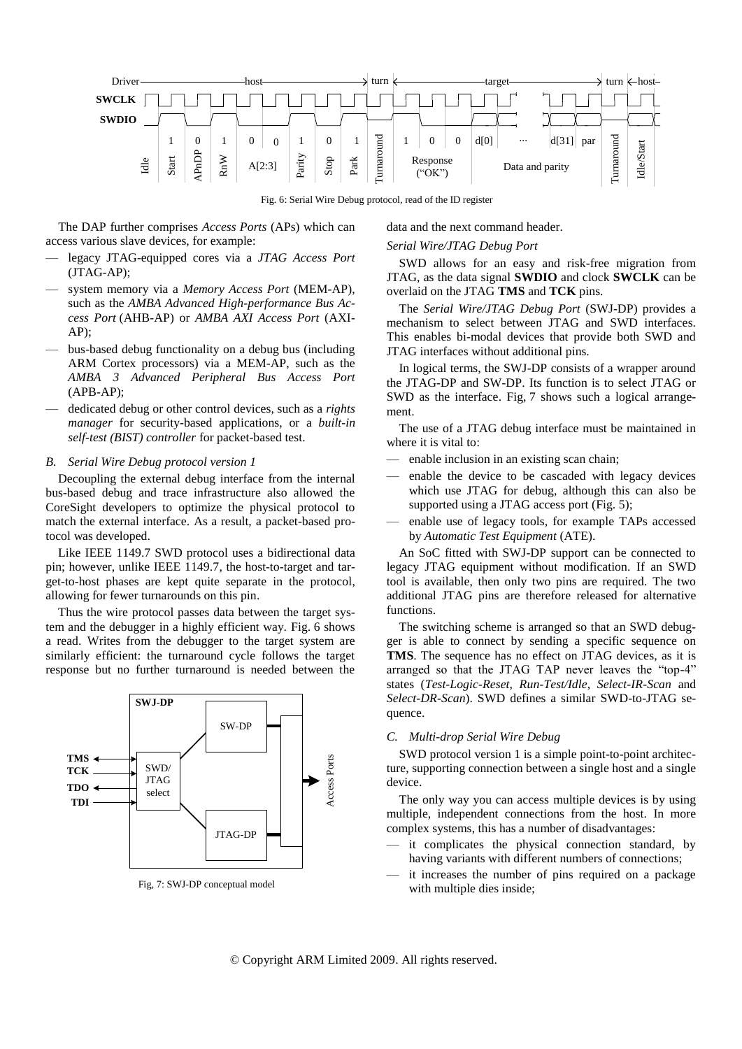

Fig. 6: Serial Wire Debug protocol, read of the ID register

<span id="page-3-0"></span>The DAP further comprises *Access Ports* (APs) which can access various slave devices, for example:

- legacy JTAG-equipped cores via a *JTAG Access Port* (JTAG-AP);
- system memory via a *Memory Access Port* (MEM-AP), such as the *AMBA Advanced High-performance Bus Access Port* (AHB-AP) or *AMBA AXI Access Port* (AXI-AP);
- bus-based debug functionality on a debug bus (including ARM Cortex processors) via a MEM-AP, such as the *AMBA 3 Advanced Peripheral Bus Access Port* (APB-AP);
- dedicated debug or other control devices, such as a *rights manager* for security-based applications, or a *built-in self-test (BIST) controller* for packet-based test.

## *B. Serial Wire Debug protocol version 1*

Decoupling the external debug interface from the internal bus-based debug and trace infrastructure also allowed the CoreSight developers to optimize the physical protocol to match the external interface. As a result, a packet-based protocol was developed.

Like IEEE 1149.7 SWD protocol uses a bidirectional data pin; however, unlike IEEE 1149.7, the host-to-target and target-to-host phases are kept quite separate in the protocol, allowing for fewer turnarounds on this pin.

Thus the wire protocol passes data between the target system and the debugger in a highly efficient way. [Fig.](#page-3-0) 6 shows a read. Writes from the debugger to the target system are similarly efficient: the turnaround cycle follows the target response but no further turnaround is needed between the



<span id="page-3-1"></span>Fig, 7: SWJ-DP conceptual model

data and the next command header.

#### *Serial Wire/JTAG Debug Port*

SWD allows for an easy and risk-free migration from JTAG, as the data signal **SWDIO** and clock **SWCLK** can be overlaid on the JTAG **TMS** and **TCK** pins.

The *Serial Wire/JTAG Debug Port* (SWJ-DP) provides a mechanism to select between JTAG and SWD interfaces. This enables bi-modal devices that provide both SWD and JTAG interfaces without additional pins.

In logical terms, the SWJ-DP consists of a wrapper around the JTAG-DP and SW-DP. Its function is to select JTAG or SWD as the interface. [Fig,](#page-3-1) 7 shows such a logical arrangement.

The use of a JTAG debug interface must be maintained in where it is vital to:

- enable inclusion in an existing scan chain;
- enable the device to be cascaded with legacy devices which use JTAG for debug, although this can also be supported using a JTAG access port [\(Fig.](#page-2-1) 5);
- enable use of legacy tools, for example TAPs accessed by *Automatic Test Equipment* (ATE).

An SoC fitted with SWJ-DP support can be connected to legacy JTAG equipment without modification. If an SWD tool is available, then only two pins are required. The two additional JTAG pins are therefore released for alternative functions.

The switching scheme is arranged so that an SWD debugger is able to connect by sending a specific sequence on **TMS**. The sequence has no effect on JTAG devices, as it is arranged so that the JTAG TAP never leaves the "top-4" states (*Test-Logic-Reset*, *Run-Test/Idle*, *Select-IR-Scan* and *Select-DR-Scan*). SWD defines a similar SWD-to-JTAG sequence.

## *C. Multi-drop Serial Wire Debug*

SWD protocol version 1 is a simple point-to-point architecture, supporting connection between a single host and a single device.

The only way you can access multiple devices is by using multiple, independent connections from the host. In more complex systems, this has a number of disadvantages:

- it complicates the physical connection standard, by having variants with different numbers of connections;
- it increases the number of pins required on a package with multiple dies inside;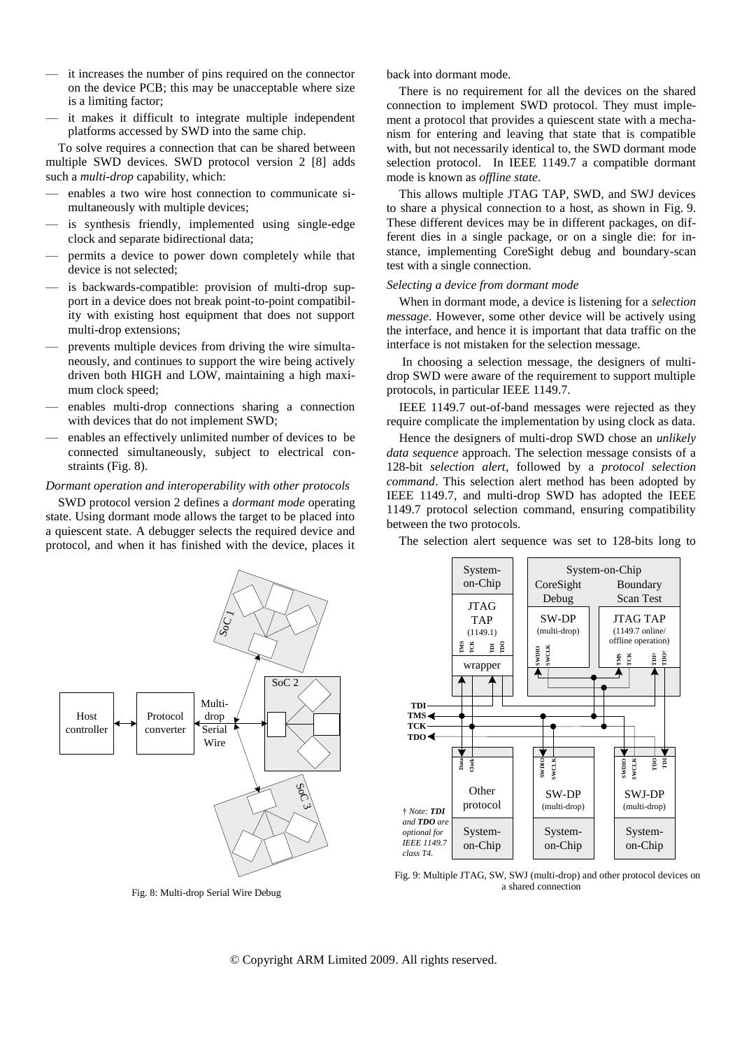- it increases the number of pins required on the connector on the device PCB; this may be unacceptable where size is a limiting factor;
- it makes it difficult to integrate multiple independent platforms accessed by SWD into the same chip.

To solve requires a connection that can be shared between multiple SWD devices. SWD protocol version 2 [8] adds such a *multi-drop* capability, which:

- enables a two wire host connection to communicate simultaneously with multiple devices;
- is synthesis friendly, implemented using single-edge clock and separate bidirectional data;
- permits a device to power down completely while that device is not selected;
- is backwards-compatible: provision of multi-drop support in a device does not break point-to-point compatibility with existing host equipment that does not support multi-drop extensions;
- prevents multiple devices from driving the wire simultaneously, and continues to support the wire being actively driven both HIGH and LOW, maintaining a high maximum clock speed;
- enables multi-drop connections sharing a connection with devices that do not implement SWD;
- enables an effectively unlimited number of devices to be connected simultaneously, subject to electrical constraints [\(Fig.](#page-4-1) 8).

# *Dormant operation and interoperability with other protocols*

SWD protocol version 2 defines a *dormant mode* operating state. Using dormant mode allows the target to be placed into a quiescent state. A debugger selects the required device and protocol, and when it has finished with the device, places it back into dormant mode.

There is no requirement for all the devices on the shared connection to implement SWD protocol. They must implement a protocol that provides a quiescent state with a mechanism for entering and leaving that state that is compatible with, but not necessarily identical to, the SWD dormant mode selection protocol. In IEEE 1149.7 a compatible dormant mode is known as *offline state*.

This allows multiple JTAG TAP, SWD, and SWJ devices to share a physical connection to a host, as shown in [Fig.](#page-4-2) 9. These different devices may be in different packages, on different dies in a single package, or on a single die: for instance, implementing CoreSight debug and boundary-scan test with a single connection.

#### <span id="page-4-0"></span>*Selecting a device from dormant mode*

When in dormant mode, a device is listening for a *selection message*. However, some other device will be actively using the interface, and hence it is important that data traffic on the interface is not mistaken for the selection message.

In choosing a selection message, the designers of multidrop SWD were aware of the requirement to support multiple protocols, in particular IEEE 1149.7.

IEEE 1149.7 out-of-band messages were rejected as they require complicate the implementation by using clock as data.

Hence the designers of multi-drop SWD chose an *unlikely data sequence* approach. The selection message consists of a 128-bit *selection alert*, followed by a *protocol selection command*. This selection alert method has been adopted by IEEE 1149.7, and multi-drop SWD has adopted the IEEE 1149.7 protocol selection command, ensuring compatibility between the two protocols.



<span id="page-4-1"></span>Fig. 8: Multi-drop Serial Wire Debug

The selection alert sequence was set to 128-bits long to



<span id="page-4-2"></span>Fig. 9: Multiple JTAG, SW, SWJ (multi-drop) and other protocol devices on a shared connection

© Copyright ARM Limited 2009. All rights reserved.